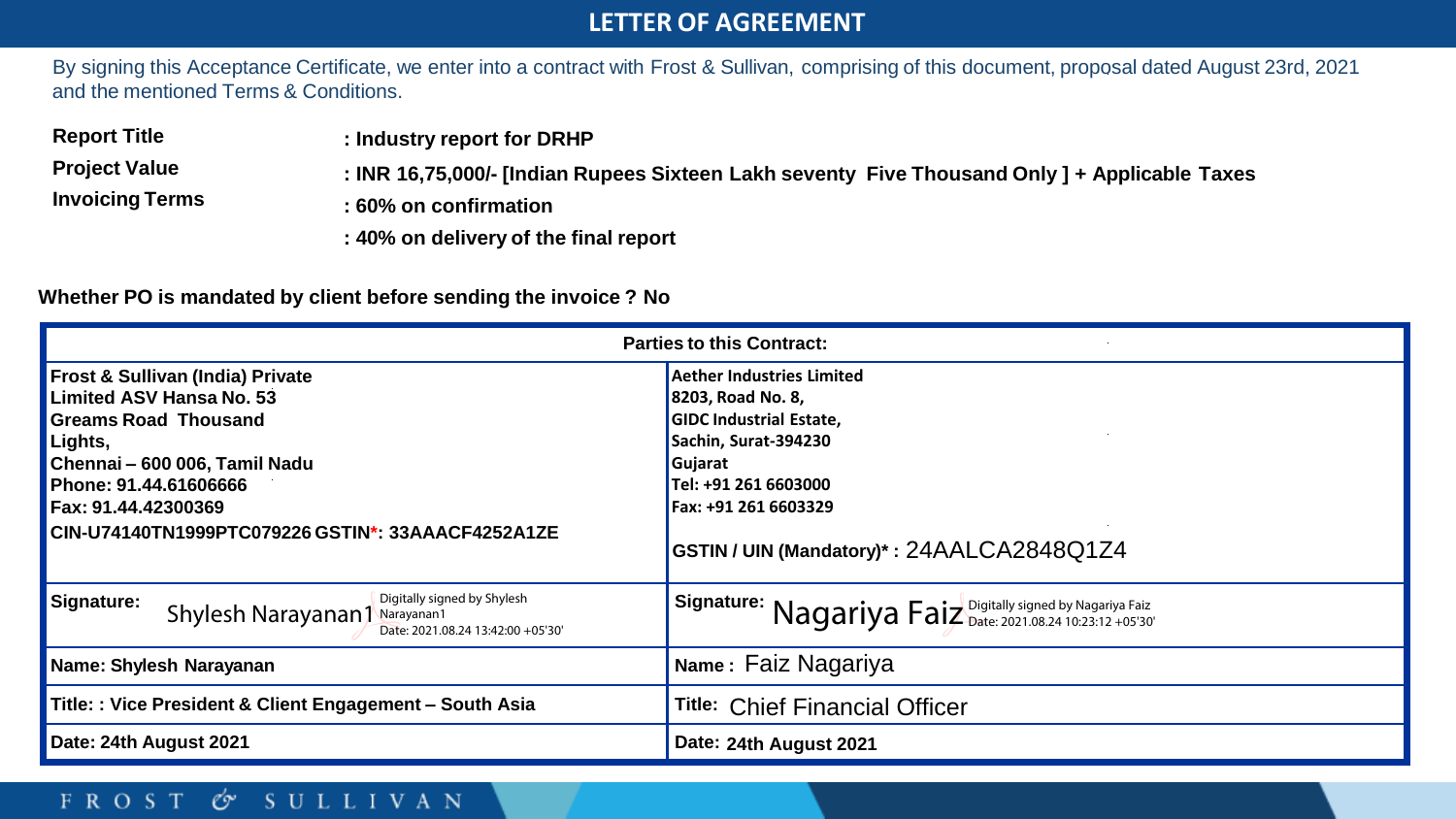### **LETTER OF AGREEMENT**

By signing this Acceptance Certificate, we enter into a contract with Frost & Sullivan, comprising of this document, proposal dated August 23rd, 2021 and the mentioned Terms & Conditions.

**Report Title** 

**: Industry report for DRHP**

**Project Value Invoicing Terms**

- **: INR 16,75,000/- [Indian Rupees Sixteen Lakh seventy Five Thousand Only ] + Applicable Taxes**
- **: 60% on confirmation**
- **: 40% on delivery of the final report**

### **Whether PO is mandated by client before sending the invoice ? No**

| <b>Parties to this Contract:</b>                                                                                                                                                                                                                        |                                                                                                                                                                                                                         |
|---------------------------------------------------------------------------------------------------------------------------------------------------------------------------------------------------------------------------------------------------------|-------------------------------------------------------------------------------------------------------------------------------------------------------------------------------------------------------------------------|
| <b>Frost &amp; Sullivan (India) Private</b><br>Limited ASV Hansa No. 53<br><b>Greams Road Thousand</b><br>Lights,<br>Chennai - 600 006, Tamil Nadu<br>Phone: 91.44.61606666<br>Fax: 91.44.42300369<br>CIN-U74140TN1999PTC079226 GSTIN*: 33AAACF4252A1ZE | <b>Aether Industries Limited</b><br>8203, Road No. 8,<br><b>GIDC Industrial Estate,</b><br>Sachin, Surat-394230<br>Gujarat<br>Tel: +91 261 6603000<br>Fax: +91 261 6603329<br>GSTIN / UIN (Mandatory)*: 24AALCA2848Q1Z4 |
| Digitally signed by Shylesh<br>Signature:<br>Shylesh Narayanan1 Narayanan1<br>Date: 2021.08.24 13:42:00 +05'30'                                                                                                                                         | Signature: $Nagariya Faiz2 Date2021.08.24 10:23:12 + 05'30'$                                                                                                                                                            |
| Name: Shylesh Narayanan                                                                                                                                                                                                                                 | Name: Faiz Nagariya                                                                                                                                                                                                     |
| Title:: Vice President & Client Engagement - South Asia                                                                                                                                                                                                 | <b>Title: Chief Financial Officer</b>                                                                                                                                                                                   |
| Date: 24th August 2021                                                                                                                                                                                                                                  | Date: 24th August 2021                                                                                                                                                                                                  |

### **FROST**  $\circ$  SULLIVAN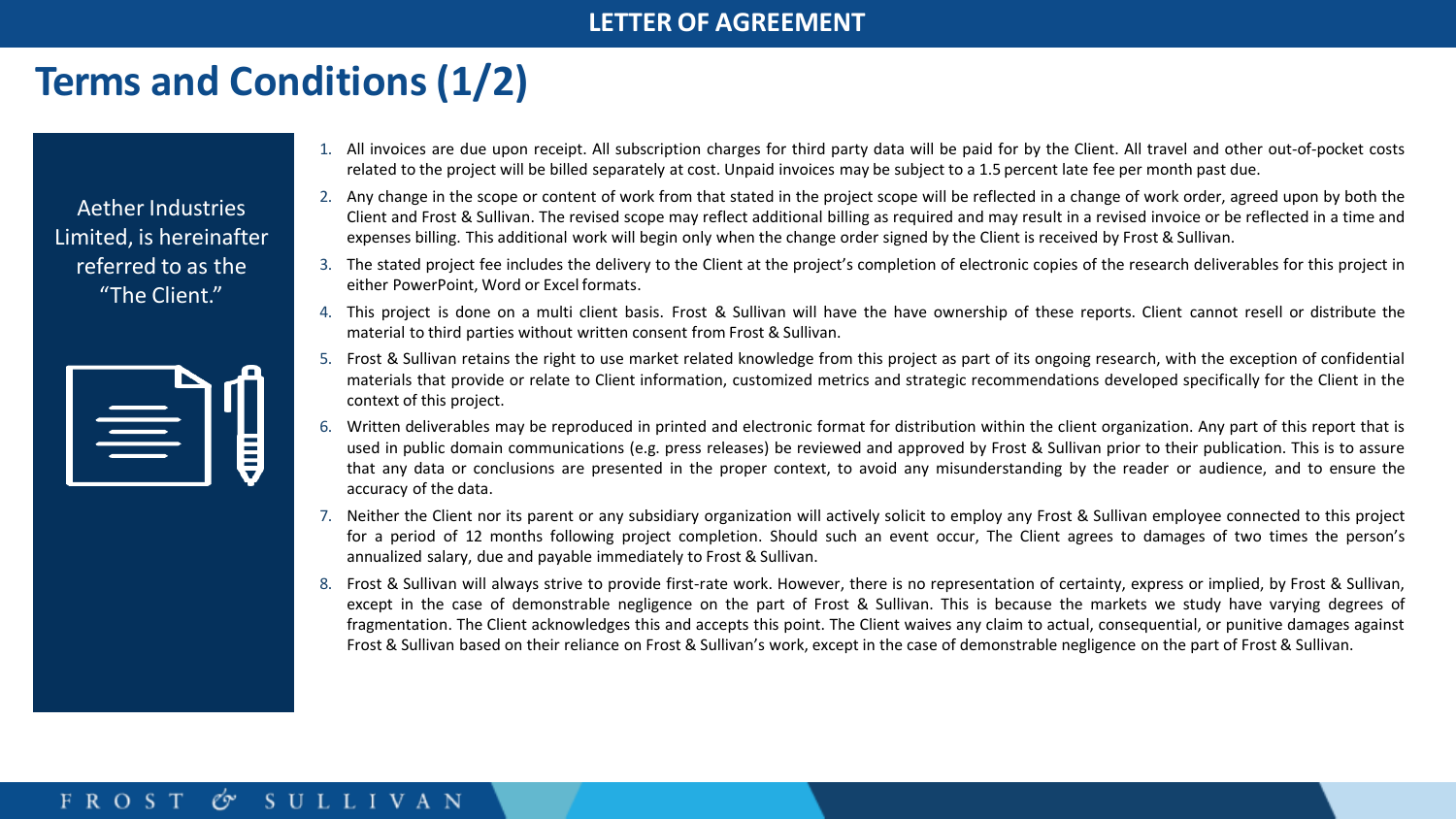# **Terms and Conditions (1/2)**

Aether Industries Limited, is hereinafter referred to as the "The Client."



- 1. All invoices are due upon receipt. All subscription charges for third party data will be paid for by the Client. All travel and other out-of-pocket costs related to the project will be billed separately at cost. Unpaid invoices may be subject to a 1.5 percent late fee per month past due.
- 2. Any change in the scope or content of work from that stated in the project scope will be reflected in a change of work order, agreed upon by both the Client and Frost & Sullivan. The revised scope may reflect additional billing as required and may result in a revised invoice or be reflected in a time and expenses billing. This additional work will begin only when the change order signed by the Client is received by Frost & Sullivan.
- 3. The stated project fee includes the delivery to the Client at the project's completion of electronic copies of the research deliverables for this project in either PowerPoint, Word or Excel formats.
- 4. This project is done on a multi client basis. Frost & Sullivan will have the have ownership of these reports. Client cannot resell or distribute the material to third parties without written consent from Frost & Sullivan.
- 5. Frost & Sullivan retains the right to use market related knowledge from this project as part of its ongoing research, with the exception of confidential materials that provide or relate to Client information, customized metrics and strategic recommendations developed specifically for the Client in the context of this project.
- 6. Written deliverables may be reproduced in printed and electronic format for distribution within the client organization. Any part of this report that is used in public domain communications (e.g. press releases) be reviewed and approved by Frost & Sullivan prior to their publication. This is to assure that any data or conclusions are presented in the proper context, to avoid any misunderstanding by the reader or audience, and to ensure the accuracy of the data.
- 7. Neither the Client nor its parent or any subsidiary organization will actively solicit to employ any Frost & Sullivan employee connected to this project for a period of 12 months following project completion. Should such an event occur, The Client agrees to damages of two times the person's annualized salary, due and payable immediately to Frost & Sullivan.
- 8. Frost & Sullivan will always strive to provide first-rate work. However, there is no representation of certainty, express or implied, by Frost & Sullivan, except in the case of demonstrable negligence on the part of Frost & Sullivan. This is because the markets we study have varying degrees of fragmentation. The Client acknowledges this and accepts this point. The Client waives any claim to actual, consequential, or punitive damages against Frost & Sullivan based on their reliance on Frost & Sullivan's work, except in the case of demonstrable negligence on the part of Frost & Sullivan.

#### Co SULLIVAN **FROST**